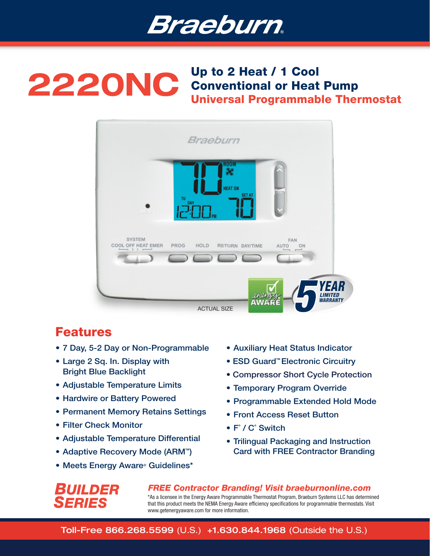

# 2220NC Up to 2 Heat / 1 Cool Conventional or Heat Pump Universal Programmable Thermostat



## Features

- 7 Day, 5-2 Day or Non-Programmable
- Large 2 Sq. In. Display with Bright Blue Backlight
- Adjustable Temperature Limits
- Hardwire or Battery Powered
- Permanent Memory Retains Settings
- Filter Check Monitor
- Adjustable Temperature Differential
- Adaptive Recovery Mode (ARM<sup>™</sup>)
- Meets Energy Aware® Guidelines\*
- Auxiliary Heat Status Indicator
- ESD Guard<sup>™</sup> Electronic Circuitry
- Compressor Short Cycle Protection
- Temporary Program Override
- Programmable Extended Hold Mode
- Front Access Reset Button
- F˚ / C˚ Switch
- Trilingual Packaging and Instruction Card with FREE Contractor Branding



*FREE Contractor Branding! Visit braeburnonline.com* \*As a licensee in the Energy Aware Programmable Thermostat Program, Braeburn Systems LLC has determined that this product meets the NEMA Energy Aware efficiency specifications for programmable thermostats. Visit www.getenergyaware.com for more information.

### Toll-Free 866.268.5599 (U.S.) +1.630.844.1968 (Outside the U.S.)